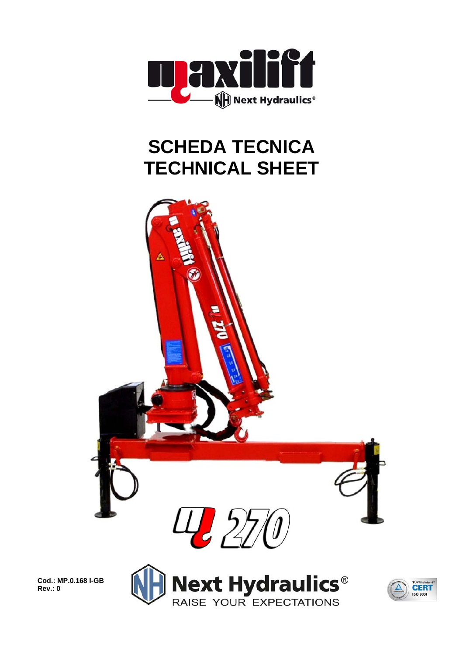

## **SCHEDA TECNICA TECHNICAL SHEET**



**Cod.: MP.0.168 I-GB Rev.: 0** 



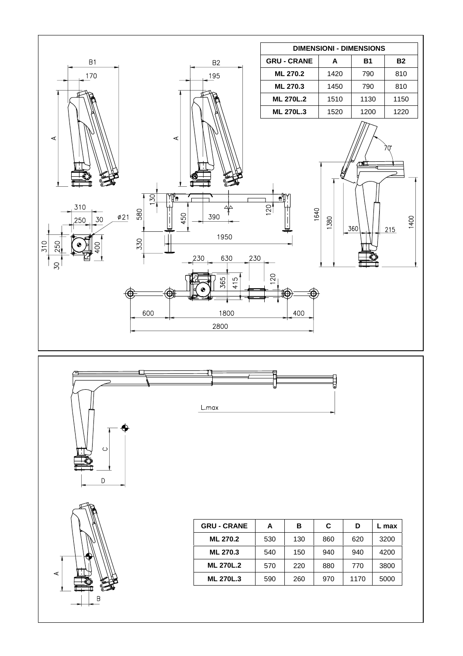





 $\circ$ 

 $\mathsf D$ 

| <b>GRU - CRANE</b> | А   | в   | C   | D    | max  |  |
|--------------------|-----|-----|-----|------|------|--|
| <b>ML 270.2</b>    | 530 | 130 | 860 | 620  | 3200 |  |
| ML 270.3           | 540 | 150 | 940 | 940  | 4200 |  |
| <b>ML 270L.2</b>   | 570 | 220 | 880 | 770  | 3800 |  |
| <b>ML 270L.3</b>   | 590 | 260 | 970 | 1170 | 5000 |  |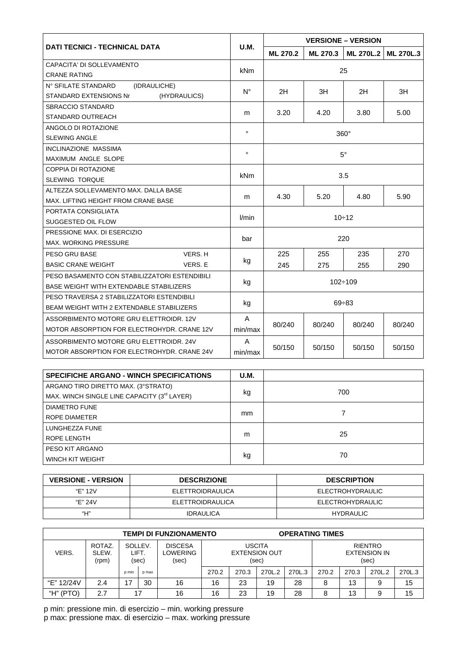|                                                  |             | <b>VERSIONE - VERSION</b> |          |        |                       |  |  |
|--------------------------------------------------|-------------|---------------------------|----------|--------|-----------------------|--|--|
| <b>DATI TECNICI - TECHNICAL DATA</b>             | <b>U.M.</b> | <b>ML 270.2</b>           | ML 270.3 |        | ML 270L.2   ML 270L.3 |  |  |
| CAPACITA' DI SOLLEVAMENTO                        | kNm         | 25                        |          |        |                       |  |  |
| <b>CRANE RATING</b>                              |             |                           |          |        |                       |  |  |
| N° SFILATE STANDARD<br>(IDRAULICHE)              |             | 2H                        | ЗH       | 2H     | 3H                    |  |  |
| <b>STANDARD EXTENSIONS Nr</b><br>(HYDRAULICS)    | $N^{\circ}$ |                           |          |        |                       |  |  |
| <b>SBRACCIO STANDARD</b>                         |             |                           |          |        |                       |  |  |
| STANDARD OUTREACH                                | m           | 3.20                      | 4.20     | 3.80   | 5.00                  |  |  |
| ANGOLO DI ROTAZIONE                              | $\circ$     | $360^\circ$               |          |        |                       |  |  |
| <b>SLEWING ANGLE</b>                             |             |                           |          |        |                       |  |  |
| <b>INCLINAZIONE MASSIMA</b>                      | $\circ$     | $5^{\circ}$               |          |        |                       |  |  |
| <b>MAXIMUM ANGLE SLOPE</b>                       |             |                           |          |        |                       |  |  |
| COPPIA DI ROTAZIONE                              | <b>kNm</b>  |                           |          |        |                       |  |  |
| <b>SLEWING TORQUE</b>                            |             | 3.5                       |          |        |                       |  |  |
| ALTEZZA SOLLEVAMENTO MAX. DALLA BASE             | m           | 4.30                      | 5.20     | 4.80   | 5.90                  |  |  |
| MAX. LIFTING HEIGHT FROM CRANE BASE              |             |                           |          |        |                       |  |  |
| PORTATA CONSIGLIATA                              | l/min       | $10 \div 12$              |          |        |                       |  |  |
| SUGGESTED OIL FLOW                               |             |                           |          |        |                       |  |  |
| PRESSIONE MAX. DI ESERCIZIO                      | bar         | 220                       |          |        |                       |  |  |
| <b>MAX. WORKING PRESSURE</b>                     |             |                           |          |        |                       |  |  |
| PESO GRU BASE<br>VERS. H                         |             | 225                       | 255      | 235    | 270                   |  |  |
| <b>BASIC CRANE WEIGHT</b><br>VERS. E             | kg          | 245                       | 275      | 255    | 290                   |  |  |
| PESO BASAMENTO CON STABILIZZATORI ESTENDIBILI    |             | $102 \div 109$            |          |        |                       |  |  |
| BASE WEIGHT WITH EXTENDABLE STABILIZERS          | kg          |                           |          |        |                       |  |  |
| PESO TRAVERSA 2 STABILIZZATORI ESTENDIBILI       |             | $69 + 83$                 |          |        |                       |  |  |
| <b>BEAM WEIGHT WITH 2 EXTENDABLE STABILIZERS</b> | kg          |                           |          |        |                       |  |  |
| ASSORBIMENTO MOTORE GRU ELETTROIDR, 12V          | A           |                           |          |        |                       |  |  |
| MOTOR ABSORPTION FOR ELECTROHYDR. CRANE 12V      | min/max     | 80/240                    | 80/240   | 80/240 | 80/240                |  |  |
| ASSORBIMENTO MOTORE GRU ELETTROIDR. 24V          | A           |                           |          |        | 50/150                |  |  |
| MOTOR ABSORPTION FOR ELECTROHYDR. CRANE 24V      | min/max     | 50/150                    | 50/150   | 50/150 |                       |  |  |

| <b>SPECIFICHE ARGANO - WINCH SPECIFICATIONS</b>         | <b>U.M.</b> |     |  |  |  |
|---------------------------------------------------------|-------------|-----|--|--|--|
| ARGANO TIRO DIRETTO MAX. (3°STRATO)                     |             | 700 |  |  |  |
| MAX. WINCH SINGLE LINE CAPACITY (3 <sup>rd</sup> LAYER) | kg          |     |  |  |  |
| <b>DIAMETRO FUNE</b>                                    |             |     |  |  |  |
| ROPE DIAMETER                                           | mm          |     |  |  |  |
| LUNGHEZZA FUNE                                          |             |     |  |  |  |
| ROPE LENGTH                                             | m           | 25  |  |  |  |
| PESO KIT ARGANO                                         |             |     |  |  |  |
| WINCH KIT WEIGHT                                        | kg          | 70  |  |  |  |

| <b>VERSIONE - VERSION</b> | <b>DESCRIZIONE</b> | <b>DESCRIPTION</b> |
|---------------------------|--------------------|--------------------|
| "F" 12V                   | ELETTROIDRAULICA   | ELECTROHYDRAULIC   |
| "F" 24V                   | ELETTROIDRAULICA   | ELECTROHYDRAULIC   |
| "Н"                       | <b>IDRAULICA</b>   | <b>HYDRAULIC</b>   |

|              |                          |                  |       | <b>TEMPI DI FUNZIONAMENTO</b>       | <b>OPERATING TIMES</b>                         |       |        |                                                |       |       |        |        |
|--------------|--------------------------|------------------|-------|-------------------------------------|------------------------------------------------|-------|--------|------------------------------------------------|-------|-------|--------|--------|
| VERS.        | ROTAZ.<br>SLEW.<br>(rpm) | SOLLEV.<br>LIFT. | (sec) | <b>DISCESA</b><br>LOWERING<br>(sec) | <b>USCITA</b><br><b>EXTENSION OUT</b><br>(sec) |       |        | <b>RIENTRO</b><br><b>EXTENSION IN</b><br>(sec) |       |       |        |        |
|              |                          | p min            | p max |                                     | 270.2                                          | 270.3 | 270L.2 | 270L.3                                         | 270.2 | 270.3 | 270L.2 | 270L.3 |
| "E" 12/24V   | 2.4                      | 7                | 30    | 16                                  | 16                                             | 23    | 19     | 28                                             | 8     | 13    | 9      | 15     |
| "Н"<br>(PTO) | 2.7                      |                  | ⇁     | 16                                  | 16                                             | 23    | 19     | 28                                             | 8     | 13    | 9      | 15     |

p min: pressione min. di esercizio – min. working pressure p max: pressione max. di esercizio – max. working pressure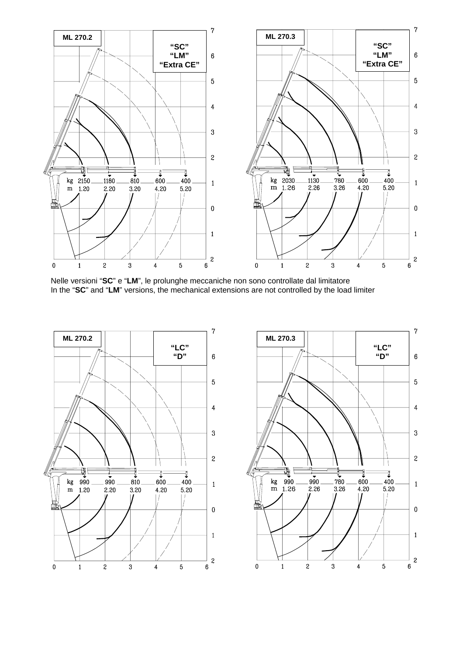

Nelle versioni "**SC**" e "**LM**", le prolunghe meccaniche non sono controllate dal limitatore In the "**SC**" and "**LM**" versions, the mechanical extensions are not controlled by the load limiter